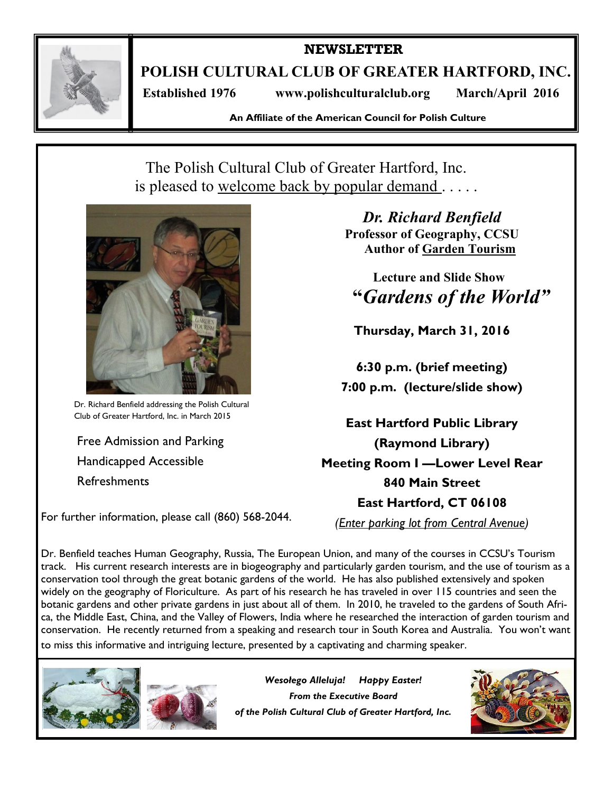

**NEWSLETTER**

**POLISH CULTURAL CLUB OF GREATER HARTFORD, INC.**

 **Established 1976 www.polishculturalclub.org March/April 2016**

**An Affiliate of the American Council for Polish Culture**

# The Polish Cultural Club of Greater Hartford, Inc. is pleased to welcome back by popular demand . .



Dr. Richard Benfield addressing the Polish Cultural Club of Greater Hartford, Inc. in March 2015

Free Admission and Parking Handicapped Accessible Refreshments

For further information, please call (860) 568-2044.

*Dr. Richard Benfield* **Professor of Geography, CCSU Author of Garden Tourism**

**Lecture and Slide Show "***Gardens of the World"*

**Thursday, March 31, 2016**

**6:30 p.m. (brief meeting) 7:00 p.m. (lecture/slide show)**

**East Hartford Public Library (Raymond Library) Meeting Room I —Lower Level Rear 840 Main Street East Hartford, CT 06108**

*(Enter parking lot from Central Avenue)*

Dr. Benfield teaches Human Geography, Russia, The European Union, and many of the courses in CCSU's Tourism track. His current research interests are in biogeography and particularly garden tourism, and the use of tourism as a conservation tool through the great botanic gardens of the world. He has also published extensively and spoken widely on the geography of Floriculture. As part of his research he has traveled in over 115 countries and seen the botanic gardens and other private gardens in just about all of them. In 2010, he traveled to the gardens of South Africa, the Middle East, China, and the Valley of Flowers, India where he researched the interaction of garden tourism and conservation. He recently returned from a speaking and research tour in South Korea and Australia. You won't want to miss this informative and intriguing lecture, presented by a captivating and charming speaker.





*Wesołego Alleluja! Happy Easter! From the Executive Board of the Polish Cultural Club of Greater Hartford, Inc.*

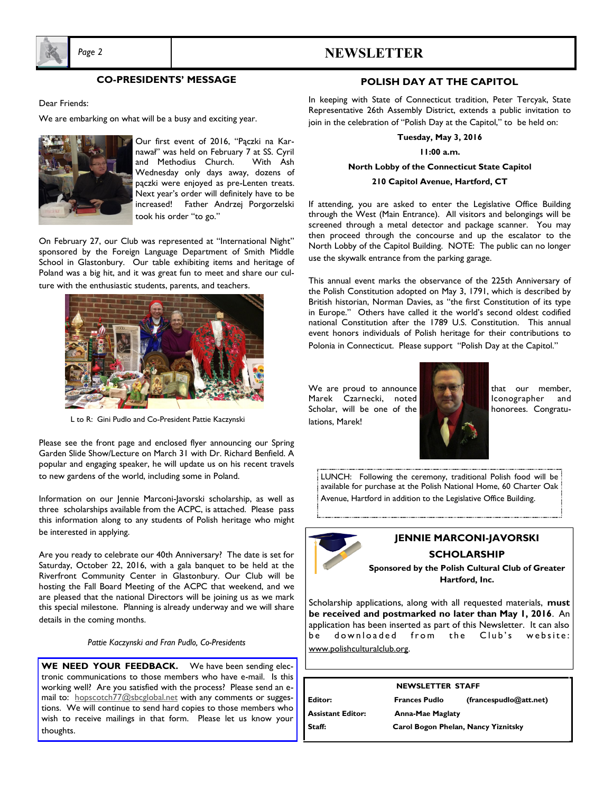

### *Page 2* **NEWSLETTER**

#### **CO-PRESIDENTS' MESSAGE**

Dear Friends:

We are embarking on what will be a busy and exciting year.



Our first event of 2016, "Pączki na Karnawał" was held on February 7 at SS. Cyril and Methodius Church. With Ash Wednesday only days away, dozens of pączki were enjoyed as pre-Lenten treats. Next year's order will definitely have to be increased! Father Andrzej Porgorzelski took his order "to go."

On February 27, our Club was represented at "International Night" sponsored by the Foreign Language Department of Smith Middle School in Glastonbury. Our table exhibiting items and heritage of Poland was a big hit, and it was great fun to meet and share our culture with the enthusiastic students, parents, and teachers.



L to R: Gini Pudlo and Co-President Pattie Kaczynski

Please see the front page and enclosed flyer announcing our Spring Garden Slide Show/Lecture on March 31 with Dr. Richard Benfield. A popular and engaging speaker, he will update us on his recent travels to new gardens of the world, including some in Poland.

Information on our Jennie Marconi-Javorski scholarship, as well as three scholarships available from the ACPC, is attached. Please pass this information along to any students of Polish heritage who might be interested in applying.

Are you ready to celebrate our 40th Anniversary? The date is set for Saturday, October 22, 2016, with a gala banquet to be held at the Riverfront Community Center in Glastonbury. Our Club will be hosting the Fall Board Meeting of the ACPC that weekend, and we are pleased that the national Directors will be joining us as we mark this special milestone. Planning is already underway and we will share details in the coming months.

*Pattie Kaczynski and Fran Pudlo, Co-Presidents*

**WE NEED YOUR FEEDBACK.** We have been sending electronic communications to those members who have e-mail. Is this working well? Are you satisfied with the process? Please send an email to: hopscotch77@sbcglobal.net with any comments or suggestions. We will continue to send hard copies to those members who wish to receive mailings in that form. Please let us know your thoughts.

#### **POLISH DAY AT THE CAPITOL**

In keeping with State of Connecticut tradition, Peter Tercyak, State Representative 26th Assembly District, extends a public invitation to join in the celebration of "Polish Day at the Capitol," to be held on:

**Tuesday, May 3, 2016**

**11:00 a.m.**

**North Lobby of the Connecticut State Capitol**

#### **210 Capitol Avenue, Hartford, CT**

If attending, you are asked to enter the Legislative Office Building through the West (Main Entrance). All visitors and belongings will be screened through a metal detector and package scanner. You may then proceed through the concourse and up the escalator to the North Lobby of the Capitol Building. NOTE: The public can no longer use the skywalk entrance from the parking garage.

This annual event marks the observance of the 225th Anniversary of the Polish Constitution adopted on May 3, 1791, which is described by British historian, Norman Davies, as "the first Constitution of its type in Europe." Others have called it the world's second oldest codified national Constitution after the 1789 U.S. Constitution. This annual event honors individuals of Polish heritage for their contributions to Polonia in Connecticut. Please support "Polish Day at the Capitol."

We are proud to announce  $\mathbb{R}$   $\mathbb{R}$   $\mathbb{R}$  that our member, Marek Czarnecki, noted **In Accept Accept** Iconographer and Scholar, will be one of the **the state of the state of the honorees**. Congratulations, Marek!



LUNCH: Following the ceremony, traditional Polish food will be available for purchase at the Polish National Home, 60 Charter Oak Avenue, Hartford in addition to the Legislative Office Building.



### **JENNIE MARCONI-JAVORSKI**

**SCHOLARSHIP**

**Sponsored by the Polish Cultural Club of Greater Hartford, Inc.**

Scholarship applications, along with all requested materials, **must be received and postmarked no later than May 1, 2016**. An application has been inserted as part of this Newsletter. It can also be downloaded from the Club's website: www.polishculturalclub.org.

| <b>NEWSLETTER STAFF</b> |                                     |                        |
|-------------------------|-------------------------------------|------------------------|
| Editor:                 | <b>Frances Pudlo</b>                | (francespudlo@att.net) |
| l Assistant Editor:     | <b>Anna-Mae Maglaty</b>             |                        |
| l Staff:                | Carol Bogon Phelan, Nancy Yiznitsky |                        |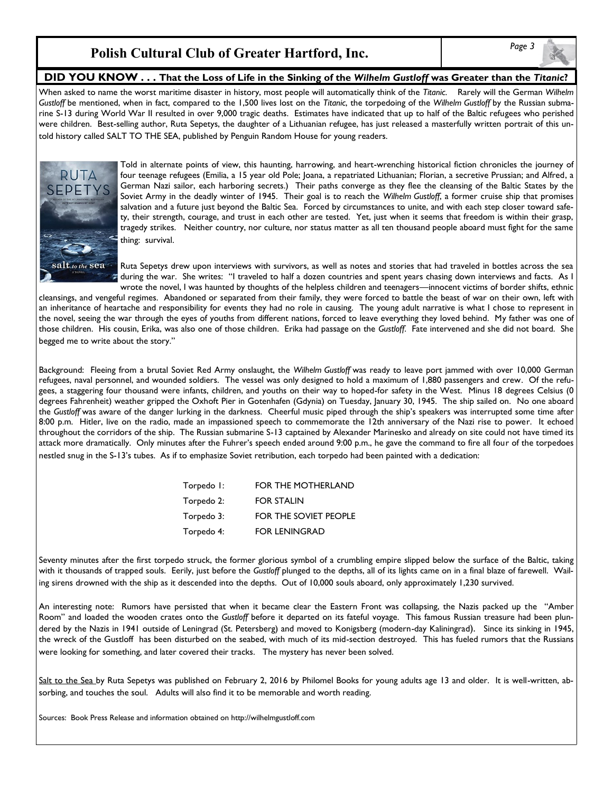### **Polish Cultural Club of Greater Hartford, Inc.**

#### **DID YOU KNOW . . . That the Loss of Life in the Sinking of the** *Wilhelm Gustloff* **was Greater than the** *Titanic***?**

When asked to name the worst maritime disaster in history, most people will automatically think of the *Titanic*. Rarely will the German *Wilhelm Gustloff* be mentioned, when in fact, compared to the 1,500 lives lost on the *Titanic*, the torpedoing of the *Wilhelm Gustloff* by the Russian submarine S-13 during World War II resulted in over 9,000 tragic deaths. Estimates have indicated that up to half of the Baltic refugees who perished were children. Best-selling author, Ruta Sepetys, the daughter of a Lithuanian refugee, has just released a masterfully written portrait of this untold history called SALT TO THE SEA, published by Penguin Random House for young readers.



Told in alternate points of view, this haunting, harrowing, and heart-wrenching historical fiction chronicles the journey of four teenage refugees (Emilia, a 15 year old Pole; Joana, a repatriated Lithuanian; Florian, a secretive Prussian; and Alfred, a German Nazi sailor, each harboring secrets.) Their paths converge as they flee the cleansing of the Baltic States by the Soviet Army in the deadly winter of 1945. Their goal is to reach the *Wilhelm Gustloff*, a former cruise ship that promises salvation and a future just beyond the Baltic Sea. Forced by circumstances to unite, and with each step closer toward safety, their strength, courage, and trust in each other are tested. Yet, just when it seems that freedom is within their grasp, tragedy strikes. Neither country, nor culture, nor status matter as all ten thousand people aboard must fight for the same thing: survival.

Ruta Sepetys drew upon interviews with survivors, as well as notes and stories that had traveled in bottles across the sea during the war. She writes: "I traveled to half a dozen countries and spent years chasing down interviews and facts. As I wrote the novel, I was haunted by thoughts of the helpless children and teenagers—innocent victims of border shifts, ethnic

cleansings, and vengeful regimes. Abandoned or separated from their family, they were forced to battle the beast of war on their own, left with an inheritance of heartache and responsibility for events they had no role in causing. The young adult narrative is what I chose to represent in the novel, seeing the war through the eyes of youths from different nations, forced to leave everything they loved behind. My father was one of those children. His cousin, Erika, was also one of those children. Erika had passage on the *Gustloff*. Fate intervened and she did not board. She begged me to write about the story."

Background: Fleeing from a brutal Soviet Red Army onslaught, the *Wilhelm Gustloff* was ready to leave port jammed with over 10,000 German refugees, naval personnel, and wounded soldiers. The vessel was only designed to hold a maximum of 1,880 passengers and crew. Of the refugees, a staggering four thousand were infants, children, and youths on their way to hoped-for safety in the West. Minus 18 degrees Celsius (0 degrees Fahrenheit) weather gripped the Oxhoft Pier in Gotenhafen (Gdynia) on Tuesday, January 30, 1945. The ship sailed on. No one aboard the *Gustloff* was aware of the danger lurking in the darkness. Cheerful music piped through the ship's speakers was interrupted some time after 8:00 p.m. Hitler, live on the radio, made an impassioned speech to commemorate the 12th anniversary of the Nazi rise to power. It echoed throughout the corridors of the ship. The Russian submarine S-13 captained by Alexander Marinesko and already on site could not have timed its attack more dramatically. Only minutes after the Fuhrer's speech ended around 9:00 p.m., he gave the command to fire all four of the torpedoes nestled snug in the S-13's tubes. As if to emphasize Soviet retribution, each torpedo had been painted with a dedication:

| Torpedo I: | FOR THE MOTHERLAND    |
|------------|-----------------------|
| Torpedo 2: | <b>FOR STALIN</b>     |
| Torpedo 3: | FOR THE SOVIET PEOPLE |
| Torpedo 4: | <b>FOR LENINGRAD</b>  |

Seventy minutes after the first torpedo struck, the former glorious symbol of a crumbling empire slipped below the surface of the Baltic, taking with it thousands of trapped souls. Eerily, just before the *Gustloff* plunged to the depths, all of its lights came on in a final blaze of farewell. Wailing sirens drowned with the ship as it descended into the depths. Out of 10,000 souls aboard, only approximately 1,230 survived.

An interesting note: Rumors have persisted that when it became clear the Eastern Front was collapsing, the Nazis packed up the "Amber Room" and loaded the wooden crates onto the *Gustloff* before it departed on its fateful voyage. This famous Russian treasure had been plundered by the Nazis in 1941 outside of Leningrad (St. Petersberg) and moved to Konigsberg (modern-day Kaliningrad). Since its sinking in 1945, the wreck of the Gustloff has been disturbed on the seabed, with much of its mid-section destroyed. This has fueled rumors that the Russians were looking for something, and later covered their tracks. The mystery has never been solved.

Salt to the Sea by Ruta Sepetys was published on February 2, 2016 by Philomel Books for young adults age 13 and older. It is well-written, absorbing, and touches the soul. Adults will also find it to be memorable and worth reading.

Sources: Book Press Release and information obtained on http://wilhelmgustloff.com